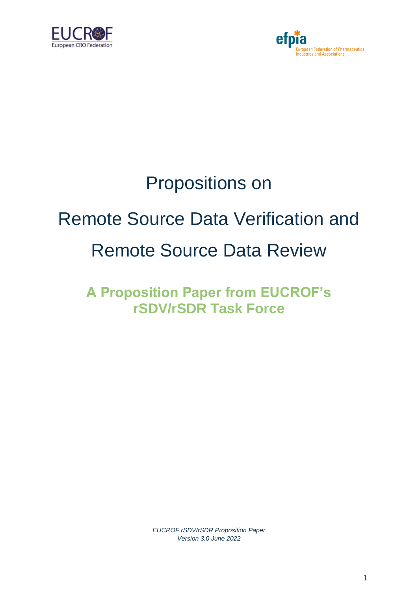



## Propositions on

## Remote Source Data Verification and Remote Source Data Review

**A Proposition Paper from EUCROF's rSDV/rSDR Task Force**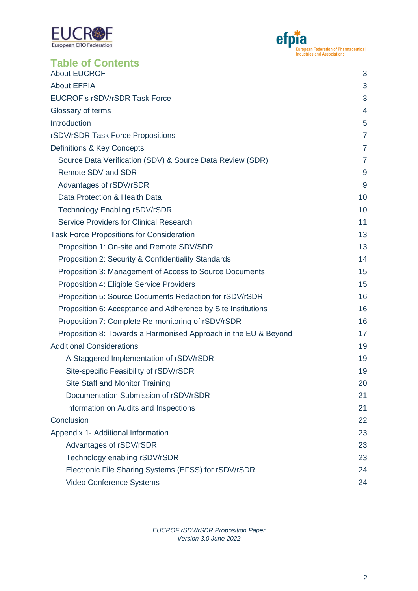



| <b>Table of Contents</b>                                        |                |
|-----------------------------------------------------------------|----------------|
| <b>About EUCROF</b>                                             | 3              |
| <b>About EFPIA</b>                                              | 3              |
| EUCROF's rSDV/rSDR Task Force                                   |                |
| Glossary of terms                                               |                |
| Introduction                                                    | 5              |
| rSDV/rSDR Task Force Propositions                               | $\overline{7}$ |
| Definitions & Key Concepts                                      | $\overline{7}$ |
| Source Data Verification (SDV) & Source Data Review (SDR)       | 7              |
| Remote SDV and SDR                                              | 9              |
| Advantages of rSDV/rSDR                                         | 9              |
| Data Protection & Health Data                                   | 10             |
| <b>Technology Enabling rSDV/rSDR</b>                            | 10             |
| Service Providers for Clinical Research                         | 11             |
| <b>Task Force Propositions for Consideration</b>                | 13             |
| Proposition 1: On-site and Remote SDV/SDR                       | 13             |
| Proposition 2: Security & Confidentiality Standards             | 14             |
| Proposition 3: Management of Access to Source Documents         | 15             |
| Proposition 4: Eligible Service Providers                       | 15             |
| Proposition 5: Source Documents Redaction for rSDV/rSDR         | 16             |
| Proposition 6: Acceptance and Adherence by Site Institutions    | 16             |
| Proposition 7: Complete Re-monitoring of rSDV/rSDR              | 16             |
| Proposition 8: Towards a Harmonised Approach in the EU & Beyond | 17             |
| <b>Additional Considerations</b>                                | 19             |
| A Staggered Implementation of rSDV/rSDR                         | 19             |
| Site-specific Feasibility of rSDV/rSDR                          | 19             |
| <b>Site Staff and Monitor Training</b>                          | 20             |
| Documentation Submission of rSDV/rSDR                           | 21             |
| Information on Audits and Inspections                           | 21             |
| Conclusion                                                      | 22             |
| Appendix 1- Additional Information                              | 23             |
| Advantages of rSDV/rSDR                                         | 23             |
| Technology enabling rSDV/rSDR                                   | 23             |
| Electronic File Sharing Systems (EFSS) for rSDV/rSDR            | 24             |
| Video Conference Systems                                        | 24             |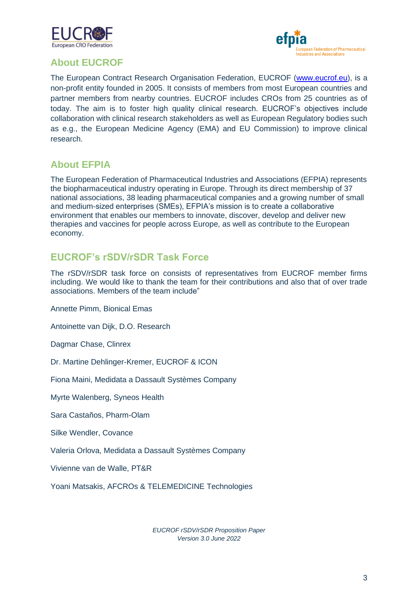



## <span id="page-2-0"></span>**About EUCROF**

The European Contract Research Organisation Federation, EUCROF [\(www.eucrof.eu\)](http://www.eucrof.eu/), is a non-profit entity founded in 2005. It consists of members from most European countries and partner members from nearby countries. EUCROF includes CROs from 25 countries as of today. The aim is to foster high quality clinical research. EUCROF's objectives include collaboration with clinical research stakeholders as well as European Regulatory bodies such as e.g., the European Medicine Agency (EMA) and EU Commission) to improve clinical research.

#### <span id="page-2-1"></span>**About EFPIA**

The European Federation of Pharmaceutical Industries and Associations (EFPIA) represents the biopharmaceutical industry operating in Europe. Through its direct membership of 37 national associations, 38 leading pharmaceutical companies and a growing number of small and medium-sized enterprises (SMEs), EFPIA's mission is to create a collaborative environment that enables our members to innovate, discover, develop and deliver new therapies and vaccines for people across Europe, as well as contribute to the European economy.

#### <span id="page-2-2"></span>**EUCROF's rSDV/rSDR Task Force**

The rSDV/rSDR task force on consists of representatives from EUCROF member firms including. We would like to thank the team for their contributions and also that of over trade associations. Members of the team include"

Annette Pimm, Bionical Emas

Antoinette van Dijk, D.O. Research

Dagmar Chase, Clinrex

Dr. Martine Dehlinger-Kremer, EUCROF & ICON

Fiona Maini, Medidata a Dassault Systèmes Company

Myrte Walenberg, Syneos Health

Sara Castaños, Pharm-Olam

Silke Wendler, Covance

Valeria Orlova, Medidata a Dassault Systèmes Company

Vivienne van de Walle, PT&R

Yoani Matsakis, AFCROs & TELEMEDICINE Technologies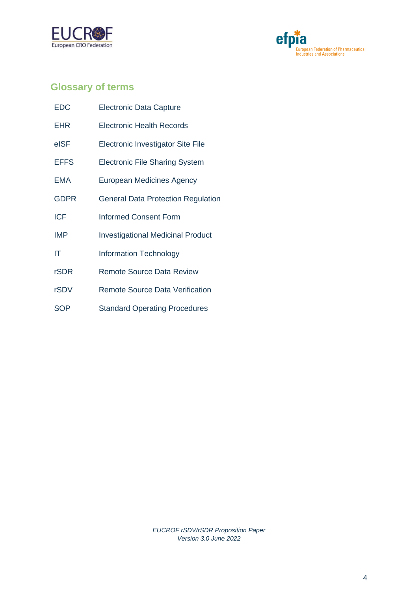



## <span id="page-3-0"></span>**Glossary of terms**

| <b>EDC</b>  | <b>Electronic Data Capture</b>            |
|-------------|-------------------------------------------|
| <b>EHR</b>  | <b>Electronic Health Records</b>          |
| eISF        | Electronic Investigator Site File         |
| <b>EFFS</b> | <b>Electronic File Sharing System</b>     |
| <b>EMA</b>  | European Medicines Agency                 |
| <b>GDPR</b> | <b>General Data Protection Regulation</b> |
| <b>ICF</b>  | <b>Informed Consent Form</b>              |
| <b>IMP</b>  | <b>Investigational Medicinal Product</b>  |
| ΙT          | <b>Information Technology</b>             |
| <b>rSDR</b> | <b>Remote Source Data Review</b>          |
| rSDV        | <b>Remote Source Data Verification</b>    |
| <b>SOP</b>  | <b>Standard Operating Procedures</b>      |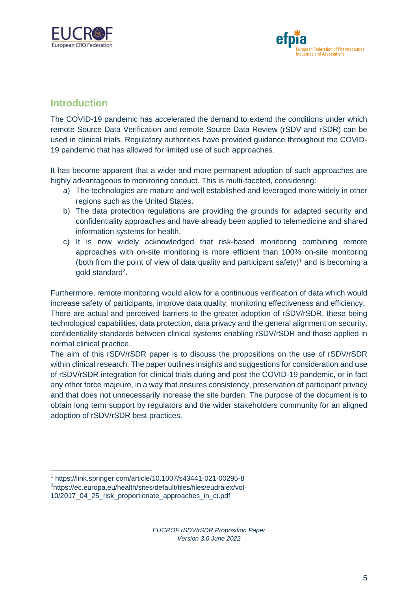



#### <span id="page-4-0"></span>**Introduction**

The COVID-19 pandemic has accelerated the demand to extend the conditions under which remote Source Data Verification and remote Source Data Review (rSDV and rSDR) can be used in clinical trials. Regulatory authorities have provided guidance throughout the COVID-19 pandemic that has allowed for limited use of such approaches.

It has become apparent that a wider and more permanent adoption of such approaches are highly advantageous to monitoring conduct. This is multi-faceted, considering:

- a) The technologies are mature and well established and leveraged more widely in other regions such as the United States.
- b) The data protection regulations are providing the grounds for adapted security and confidentiality approaches and have already been applied to telemedicine and shared information systems for health.
- c) It is now widely acknowledged that risk-based monitoring combining remote approaches with on-site monitoring is more efficient than 100% on-site monitoring (both from the point of view of data quality and participant safety)<sup>1</sup> and is becoming a gold standard<sup>2</sup>.

Furthermore, remote monitoring would allow for a continuous verification of data which would increase safety of participants, improve data quality, monitoring effectiveness and efficiency. There are actual and perceived barriers to the greater adoption of rSDV/rSDR, these being technological capabilities, data protection, data privacy and the general alignment on security, confidentiality standards between clinical systems enabling rSDV/rSDR and those applied in normal clinical practice.

The aim of this rSDV/rSDR paper is to discuss the propositions on the use of rSDV/rSDR within clinical research. The paper outlines insights and suggestions for consideration and use of rSDV/rSDR integration for clinical trials during and post the COVID-19 pandemic, or in fact any other force majeure, in a way that ensures consistency, preservation of participant privacy and that does not unnecessarily increase the site burden. The purpose of the document is to obtain long term support by regulators and the wider stakeholders community for an aligned adoption of rSDV/rSDR best practices.

<sup>1</sup> https://link.springer.com/article/10.1007/s43441-021-00295-8

<sup>2</sup>[https://ec.europa.eu/health/sites/default/files/files/eudralex/vol-](https://ec.europa.eu/health/sites/default/files/files/eudralex/vol-10/2017_04_25_risk_proportionate_approaches_in_ct.pdf)

[<sup>10/2017</sup>\\_04\\_25\\_risk\\_proportionate\\_approaches\\_in\\_ct.pdf](https://ec.europa.eu/health/sites/default/files/files/eudralex/vol-10/2017_04_25_risk_proportionate_approaches_in_ct.pdf)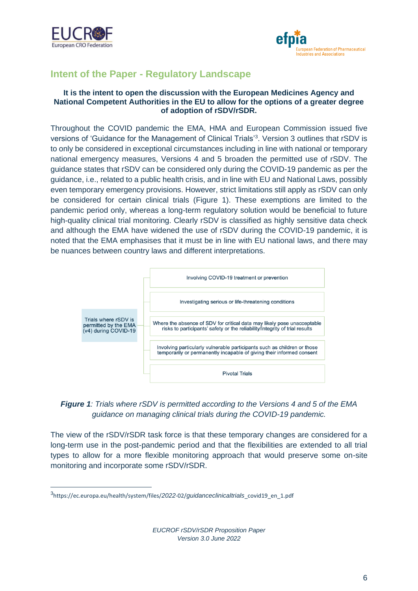



## **Intent of the Paper - Regulatory Landscape**

#### **It is the intent to open the discussion with the European Medicines Agency and National Competent Authorities in the EU to allow for the options of a greater degree of adoption of rSDV/rSDR.**

Throughout the COVID pandemic the EMA, HMA and European Commission issued five versions of 'Guidance for the Management of Clinical Trials<sup>'3</sup>. Version 3 outlines that rSDV is to only be considered in exceptional circumstances including in line with national or temporary national emergency measures, Versions 4 and 5 broaden the permitted use of rSDV. The guidance states that rSDV can be considered only during the COVID-19 pandemic as per the guidance, i.e., related to a public health crisis, and in line with EU and National Laws, possibly even temporary emergency provisions. However, strict limitations still apply as rSDV can only be considered for certain clinical trials (Figure 1). These exemptions are limited to the pandemic period only, whereas a long-term regulatory solution would be beneficial to future high-quality clinical trial monitoring. Clearly rSDV is classified as highly sensitive data check and although the EMA have widened the use of rSDV during the COVID-19 pandemic, it is noted that the EMA emphasises that it must be in line with EU national laws, and there may be nuances between country laws and different interpretations.



#### *Figure 1: Trials where rSDV is permitted according to the Versions 4 and 5 of the EMA guidance on managing clinical trials during the COVID-19 pandemic.*

The view of the rSDV/rSDR task force is that these temporary changes are considered for a long-term use in the post-pandemic period and that the flexibilities are extended to all trial types to allow for a more flexible monitoring approach that would preserve some on-site monitoring and incorporate some rSDV/rSDR.

<sup>3</sup> https://ec.europa.eu/health/system/files/*2022*-02/*guidanceclinicaltrials*\_covid19\_en\_1.pdf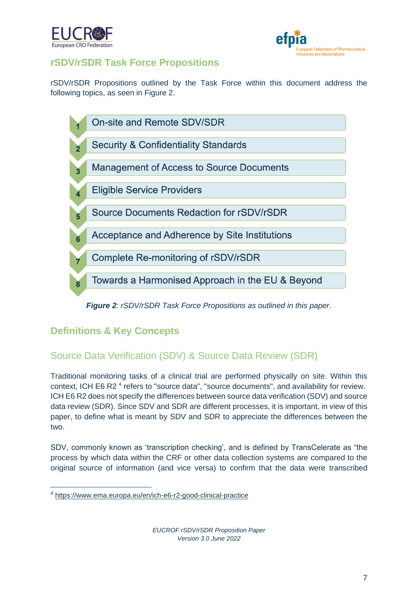



## <span id="page-6-0"></span>**rSDV/rSDR Task Force Propositions**

rSDV/rSDR Propositions outlined by the Task Force within this document address the following topics, as seen in Figure 2.



#### *Figure 2: rSDV/rSDR Task Force Propositions as outlined in this paper*.

## <span id="page-6-1"></span>**Definitions & Key Concepts**

## <span id="page-6-2"></span>Source Data Verification (SDV) & Source Data Review (SDR)

Traditional monitoring tasks of a clinical trial are performed physically on site. Within this context, ICH E6 R2<sup>4</sup> refers to "source data", "source documents", and availability for review. ICH E6 R2 does not specify the differences between source data verification (SDV) and source data review (SDR). Since SDV and SDR are different processes, it is important, in view of this paper, to define what is meant by SDV and SDR to appreciate the differences between the two.

SDV, commonly known as 'transcription checking', and is defined by TransCelerate as "the process by which data within the CRF or other data collection systems are compared to the original source of information (and vice versa) to confirm that the data were transcribed

<sup>4</sup> <https://www.ema.europa.eu/en/ich-e6-r2-good-clinical-practice>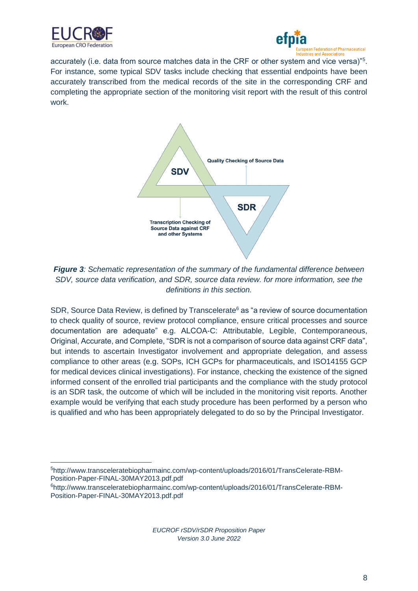



accurately (i.e. data from source matches data in the CRF or other system and vice versa)"<sup>5</sup>. For instance, some typical SDV tasks include checking that essential endpoints have been accurately transcribed from the medical records of the site in the corresponding CRF and completing the appropriate section of the monitoring visit report with the result of this control work.



*Figure 3: Schematic representation of the summary of the fundamental difference between SDV, source data verification, and SDR, source data review. for more information, see the definitions in this section.*

SDR, Source Data Review, is defined by Transcelerate<sup>6</sup> as "a review of source documentation to check quality of source, review protocol compliance, ensure critical processes and source documentation are adequate" e.g. ALCOA-C: Attributable, Legible, Contemporaneous, Original, Accurate, and Complete, "SDR is not a comparison of source data against CRF data", but intends to ascertain Investigator involvement and appropriate delegation, and assess compliance to other areas (e.g. SOPs, ICH GCPs for pharmaceuticals, and ISO14155 GCP for medical devices clinical investigations). For instance, checking the existence of the signed informed consent of the enrolled trial participants and the compliance with the study protocol is an SDR task, the outcome of which will be included in the monitoring visit reports. Another example would be verifying that each study procedure has been performed by a person who is qualified and who has been appropriately delegated to do so by the Principal Investigator.

<sup>5</sup>http://www.transceleratebiopharmainc.com/wp-content/uploads/2016/01/TransCelerate-RBM-Position-Paper-FINAL-30MAY2013.pdf.pdf

<sup>6</sup>http://www.transceleratebiopharmainc.com/wp-content/uploads/2016/01/TransCelerate-RBM-Position-Paper-FINAL-30MAY2013.pdf.pdf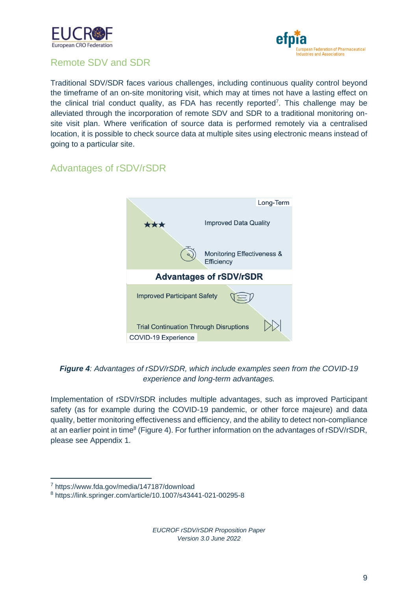



## <span id="page-8-0"></span>Remote SDV and SDR

Traditional SDV/SDR faces various challenges, including continuous quality control beyond the timeframe of an on-site monitoring visit, which may at times not have a lasting effect on the clinical trial conduct quality, as FDA has recently reported<sup>7</sup>. This challenge may be alleviated through the incorporation of remote SDV and SDR to a traditional monitoring onsite visit plan. Where verification of source data is performed remotely via a centralised location, it is possible to check source data at multiple sites using electronic means instead of going to a particular site.

## <span id="page-8-1"></span>Advantages of rSDV/rSDR



#### *Figure 4: Advantages of rSDV/rSDR, which include examples seen from the COVID-19 experience and long-term advantages.*

Implementation of rSDV/rSDR includes multiple advantages, such as improved Participant safety (as for example during the COVID-19 pandemic, or other force majeure) and data quality, better monitoring effectiveness and efficiency, and the ability to detect non-compliance at an earlier point in time<sup>8</sup> (Figure 4). For further information on the advantages of rSDV/rSDR, please see Appendix 1.

<sup>7</sup> https://www.fda.gov/media/147187/download

<sup>8</sup> https://link.springer.com/article/10.1007/s43441-021-00295-8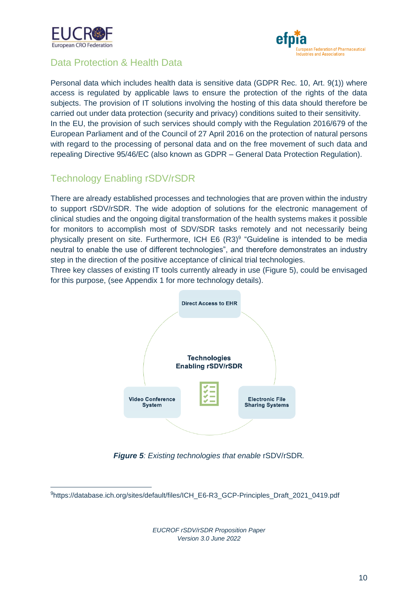



## <span id="page-9-0"></span>Data Protection & Health Data

Personal data which includes health data is sensitive data (GDPR Rec. 10, Art. 9(1)) where access is regulated by applicable laws to ensure the protection of the rights of the data subjects. The provision of IT solutions involving the hosting of this data should therefore be carried out under data protection (security and privacy) conditions suited to their sensitivity. In the EU, the provision of such services should comply with the Regulation 2016/679 of the European Parliament and of the Council of 27 April 2016 on the protection of natural persons with regard to the processing of personal data and on the free movement of such data and repealing Directive 95/46/EC (also known as GDPR – General Data Protection Regulation).

## <span id="page-9-1"></span>Technology Enabling rSDV/rSDR

There are already established processes and technologies that are proven within the industry to support rSDV/rSDR. The wide adoption of solutions for the electronic management of clinical studies and the ongoing digital transformation of the health systems makes it possible for monitors to accomplish most of SDV/SDR tasks remotely and not necessarily being physically present on site. Furthermore, ICH E6 (R3)<sup>9</sup> "Guideline is intended to be media neutral to enable the use of different technologies", and therefore demonstrates an industry step in the direction of the positive acceptance of clinical trial technologies.

Three key classes of existing IT tools currently already in use (Figure 5), could be envisaged for this purpose, (see Appendix 1 for more technology details).



*Figure 5: Existing technologies that enable* rSDV/rSDR*.*

<sup>9</sup>https://database.ich.org/sites/default/files/ICH\_E6-R3\_GCP-Principles\_Draft\_2021\_0419.pdf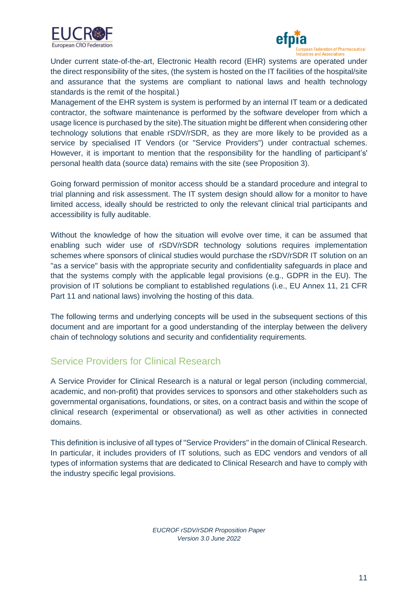



Under current state-of-the-art, Electronic Health record (EHR) systems are operated under the direct responsibility of the sites, (the system is hosted on the IT facilities of the hospital/site and assurance that the systems are compliant to national laws and health technology standards is the remit of the hospital.)

Management of the EHR system is system is performed by an internal IT team or a dedicated contractor, the software maintenance is performed by the software developer from which a usage licence is purchased by the site).The situation might be different when considering other technology solutions that enable rSDV/rSDR, as they are more likely to be provided as a service by specialised IT Vendors (or "Service Providers") under contractual schemes. However, it is important to mention that the responsibility for the handling of participant's' personal health data (source data) remains with the site (see Proposition 3).

Going forward permission of monitor access should be a standard procedure and integral to trial planning and risk assessment. The IT system design should allow for a monitor to have limited access, ideally should be restricted to only the relevant clinical trial participants and accessibility is fully auditable.

Without the knowledge of how the situation will evolve over time, it can be assumed that enabling such wider use of rSDV/rSDR technology solutions requires implementation schemes where sponsors of clinical studies would purchase the rSDV/rSDR IT solution on an "as a service" basis with the appropriate security and confidentiality safeguards in place and that the systems comply with the applicable legal provisions (e.g., GDPR in the EU). The provision of IT solutions be compliant to established regulations (i.e., EU Annex 11, 21 CFR Part 11 and national laws) involving the hosting of this data.

The following terms and underlying concepts will be used in the subsequent sections of this document and are important for a good understanding of the interplay between the delivery chain of technology solutions and security and confidentiality requirements.

#### <span id="page-10-0"></span>Service Providers for Clinical Research

A Service Provider for Clinical Research is a natural or legal person (including commercial, academic, and non-profit) that provides services to sponsors and other stakeholders such as governmental organisations, foundations, or sites, on a contract basis and within the scope of clinical research (experimental or observational) as well as other activities in connected domains.

This definition is inclusive of all types of "Service Providers" in the domain of Clinical Research. In particular, it includes providers of IT solutions, such as EDC vendors and vendors of all types of information systems that are dedicated to Clinical Research and have to comply with the industry specific legal provisions.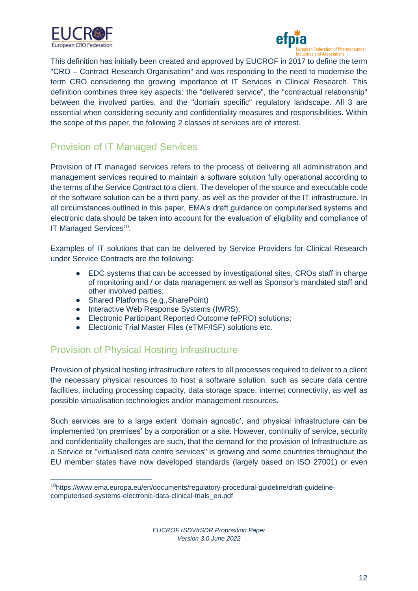



This definition has initially been created and approved by EUCROF in 2017 to define the term "CRO – Contract Research Organisation" and was responding to the need to modernise the term CRO considering the growing importance of IT Services in Clinical Research. This definition combines three key aspects: the "delivered service", the "contractual relationship" between the involved parties, and the "domain specific" regulatory landscape. All 3 are essential when considering security and confidentiality measures and responsibilities. Within the scope of this paper, the following 2 classes of services are of interest.

## Provision of IT Managed Services

Provision of IT managed services refers to the process of delivering all administration and management services required to maintain a software solution fully operational according to the terms of the Service Contract to a client. The developer of the source and executable code of the software solution can be a third party, as well as the provider of the IT infrastructure. In all circumstances outlined in this paper, EMA's draft guidance on computerised systems and electronic data should be taken into account for the evaluation of eligibility and compliance of IT Managed Services<sup>10</sup>.

Examples of IT solutions that can be delivered by Service Providers for Clinical Research under Service Contracts are the following:

- EDC systems that can be accessed by investigational sites, CROs staff in charge of monitoring and / or data management as well as Sponsor's mandated staff and other involved parties;
- Shared Platforms (e.g., SharePoint)
- Interactive Web Response Systems (IWRS);
- Electronic Participant Reported Outcome (ePRO) solutions;
- Electronic Trial Master Files (eTMF/ISF) solutions etc.

## Provision of Physical Hosting Infrastructure

Provision of physical hosting infrastructure refers to all processes required to deliver to a client the necessary physical resources to host a software solution, such as secure data centre facilities, including processing capacity, data storage space, internet connectivity, as well as possible virtualisation technologies and/or management resources.

Such services are to a large extent 'domain agnostic', and physical infrastructure can be implemented 'on premises' by a corporation or a site. However, continuity of service, security and confidentiality challenges are such, that the demand for the provision of Infrastructure as a Service or "virtualised data centre services" is growing and some countries throughout the EU member states have now developed standards (largely based on ISO 27001) or even

<sup>10</sup>https://www.ema.europa.eu/en/documents/regulatory-procedural-guideline/draft-guidelinecomputerised-systems-electronic-data-clinical-trials\_en.pdf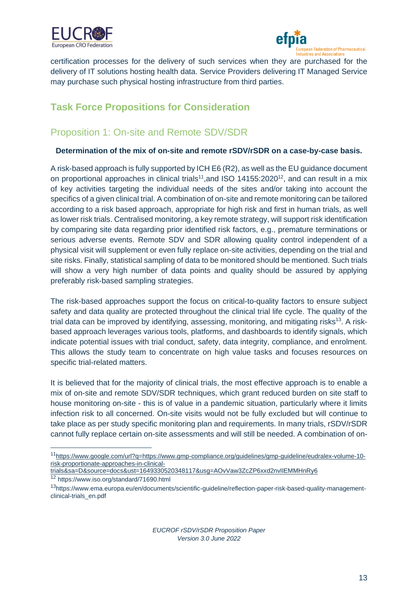



certification processes for the delivery of such services when they are purchased for the delivery of IT solutions hosting health data. Service Providers delivering IT Managed Service may purchase such physical hosting infrastructure from third parties.

## <span id="page-12-0"></span>**Task Force Propositions for Consideration**

## <span id="page-12-1"></span>Proposition 1: On-site and Remote SDV/SDR

#### **Determination of the mix of on-site and remote rSDV/rSDR on a case-by-case basis.**

A risk-based approach is fully supported by ICH E6 (R2), as well as the EU guidance document on proportional approaches in clinical trials<sup>11</sup>, and ISO 14155:2020<sup>12</sup>, and can result in a mix of key activities targeting the individual needs of the sites and/or taking into account the specifics of a given clinical trial. A combination of on-site and remote monitoring can be tailored according to a risk based approach, appropriate for high risk and first in human trials, as well as lower risk trials. Centralised monitoring, a key remote strategy, will support risk identification by comparing site data regarding prior identified risk factors, e.g., premature terminations or serious adverse events. Remote SDV and SDR allowing quality control independent of a physical visit will supplement or even fully replace on-site activities, depending on the trial and site risks. Finally, statistical sampling of data to be monitored should be mentioned. Such trials will show a very high number of data points and quality should be assured by applying preferably risk-based sampling strategies.

The risk-based approaches support the focus on critical-to-quality factors to ensure subject safety and data quality are protected throughout the clinical trial life cycle. The quality of the trial data can be improved by identifying, assessing, monitoring, and mitigating risks<sup>13</sup>. A riskbased approach leverages various tools, platforms, and dashboards to identify signals, which indicate potential issues with trial conduct, safety, data integrity, compliance, and enrolment. This allows the study team to concentrate on high value tasks and focuses resources on specific trial-related matters.

It is believed that for the majority of clinical trials, the most effective approach is to enable a mix of on-site and remote SDV/SDR techniques, which grant reduced burden on site staff to house monitoring on-site - this is of value in a pandemic situation, particularly where it limits infection risk to all concerned. On-site visits would not be fully excluded but will continue to take place as per study specific monitoring plan and requirements. In many trials, rSDV/rSDR cannot fully replace certain on-site assessments and will still be needed. A combination of on-

<sup>&</sup>lt;sup>11</sup>[https://www.google.com/url?q=https://www.gmp-compliance.org/guidelines/gmp-guideline/eudralex-volume-10](https://www.google.com/url?q=https://www.gmp-compliance.org/guidelines/gmp-guideline/eudralex-volume-10-risk-proportionate-approaches-in-clinical-trials&sa=D&source=docs&ust=1649330520348117&usg=AOvVaw3ZcZP6xxd2nvlIEMMHnRy6) [risk-proportionate-approaches-in-clinical-](https://www.google.com/url?q=https://www.gmp-compliance.org/guidelines/gmp-guideline/eudralex-volume-10-risk-proportionate-approaches-in-clinical-trials&sa=D&source=docs&ust=1649330520348117&usg=AOvVaw3ZcZP6xxd2nvlIEMMHnRy6)

[trials&sa=D&source=docs&ust=1649330520348117&usg=AOvVaw3ZcZP6xxd2nvlIEMMHnRy6](https://www.google.com/url?q=https://www.gmp-compliance.org/guidelines/gmp-guideline/eudralex-volume-10-risk-proportionate-approaches-in-clinical-trials&sa=D&source=docs&ust=1649330520348117&usg=AOvVaw3ZcZP6xxd2nvlIEMMHnRy6)

<sup>12</sup> https://www.iso.org/standard/71690.html

<sup>13</sup>[https://www.ema.europa.eu/en/documents/scientific-guideline/reflection-paper-risk-based-quality-management](https://www.ema.europa.eu/en/documents/scientific-guideline/reflection-paper-risk-based-quality-management-clinical-trials_en.pdf)[clinical-trials\\_en.pdf](https://www.ema.europa.eu/en/documents/scientific-guideline/reflection-paper-risk-based-quality-management-clinical-trials_en.pdf)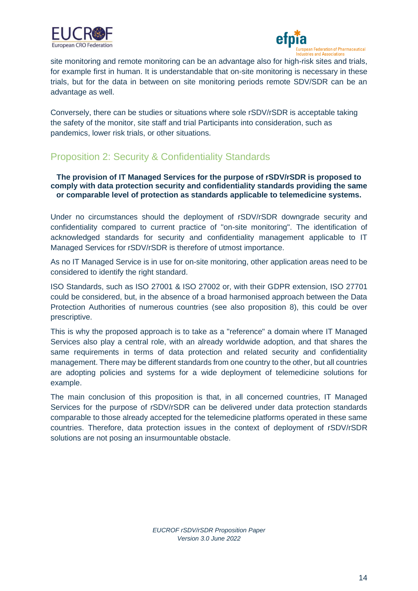



site monitoring and remote monitoring can be an advantage also for high-risk sites and trials, for example first in human. It is understandable that on-site monitoring is necessary in these trials, but for the data in between on site monitoring periods remote SDV/SDR can be an advantage as well.

Conversely, there can be studies or situations where sole rSDV/rSDR is acceptable taking the safety of the monitor, site staff and trial Participants into consideration, such as pandemics, lower risk trials, or other situations.

## <span id="page-13-0"></span>Proposition 2: Security & Confidentiality Standards

**The provision of IT Managed Services for the purpose of rSDV/rSDR is proposed to comply with data protection security and confidentiality standards providing the same or comparable level of protection as standards applicable to telemedicine systems.**

Under no circumstances should the deployment of rSDV/rSDR downgrade security and confidentiality compared to current practice of "on-site monitoring". The identification of acknowledged standards for security and confidentiality management applicable to IT Managed Services for rSDV/rSDR is therefore of utmost importance.

As no IT Managed Service is in use for on-site monitoring, other application areas need to be considered to identify the right standard.

ISO Standards, such as ISO 27001 & ISO 27002 or, with their GDPR extension, ISO 27701 could be considered, but, in the absence of a broad harmonised approach between the Data Protection Authorities of numerous countries (see also proposition 8), this could be over prescriptive.

This is why the proposed approach is to take as a "reference" a domain where IT Managed Services also play a central role, with an already worldwide adoption, and that shares the same requirements in terms of data protection and related security and confidentiality management. There may be different standards from one country to the other, but all countries are adopting policies and systems for a wide deployment of telemedicine solutions for example.

The main conclusion of this proposition is that, in all concerned countries, IT Managed Services for the purpose of rSDV/rSDR can be delivered under data protection standards comparable to those already accepted for the telemedicine platforms operated in these same countries. Therefore, data protection issues in the context of deployment of rSDV/rSDR solutions are not posing an insurmountable obstacle.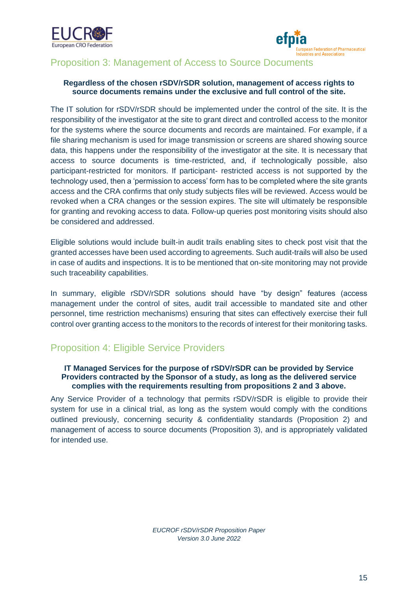



#### <span id="page-14-0"></span>Proposition 3: Management of Access to Source Documents

#### **Regardless of the chosen rSDV/rSDR solution, management of access rights to source documents remains under the exclusive and full control of the site.**

The IT solution for rSDV/rSDR should be implemented under the control of the site. It is the responsibility of the investigator at the site to grant direct and controlled access to the monitor for the systems where the source documents and records are maintained. For example, if a file sharing mechanism is used for image transmission or screens are shared showing source data, this happens under the responsibility of the investigator at the site. It is necessary that access to source documents is time-restricted, and, if technologically possible, also participant-restricted for monitors. If participant- restricted access is not supported by the technology used, then a 'permission to access' form has to be completed where the site grants access and the CRA confirms that only study subjects files will be reviewed. Access would be revoked when a CRA changes or the session expires. The site will ultimately be responsible for granting and revoking access to data. Follow-up queries post monitoring visits should also be considered and addressed.

Eligible solutions would include built-in audit trails enabling sites to check post visit that the granted accesses have been used according to agreements. Such audit-trails will also be used in case of audits and inspections. It is to be mentioned that on-site monitoring may not provide such traceability capabilities.

In summary, eligible rSDV/rSDR solutions should have "by design" features (access management under the control of sites, audit trail accessible to mandated site and other personnel, time restriction mechanisms) ensuring that sites can effectively exercise their full control over granting access to the monitors to the records of interest for their monitoring tasks.

## <span id="page-14-1"></span>Proposition 4: Eligible Service Providers

#### **IT Managed Services for the purpose of rSDV/rSDR can be provided by Service Providers contracted by the Sponsor of a study, as long as the delivered service complies with the requirements resulting from propositions 2 and 3 above.**

Any Service Provider of a technology that permits rSDV/rSDR is eligible to provide their system for use in a clinical trial, as long as the system would comply with the conditions outlined previously, concerning security & confidentiality standards (Proposition 2) and management of access to source documents (Proposition 3), and is appropriately validated for intended use.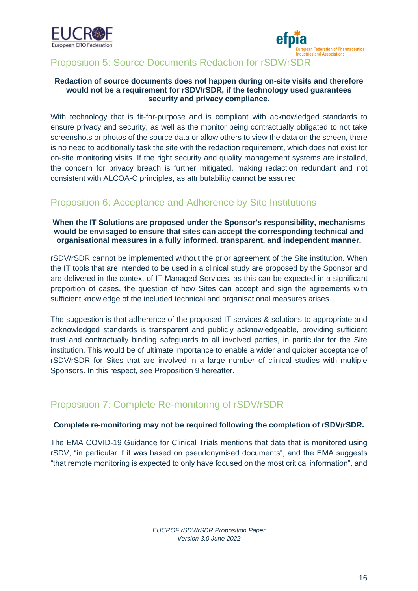



## <span id="page-15-0"></span>Proposition 5: Source Documents Redaction for rSDV/rSDR

#### **Redaction of source documents does not happen during on-site visits and therefore would not be a requirement for rSDV/rSDR, if the technology used guarantees security and privacy compliance.**

With technology that is fit-for-purpose and is compliant with acknowledged standards to ensure privacy and security, as well as the monitor being contractually obligated to not take screenshots or photos of the source data or allow others to view the data on the screen, there is no need to additionally task the site with the redaction requirement, which does not exist for on-site monitoring visits. If the right security and quality management systems are installed, the concern for privacy breach is further mitigated, making redaction redundant and not consistent with ALCOA-C principles, as attributability cannot be assured.

## <span id="page-15-1"></span>Proposition 6: Acceptance and Adherence by Site Institutions

#### **When the IT Solutions are proposed under the Sponsor's responsibility, mechanisms would be envisaged to ensure that sites can accept the corresponding technical and organisational measures in a fully informed, transparent, and independent manner.**

rSDV/rSDR cannot be implemented without the prior agreement of the Site institution. When the IT tools that are intended to be used in a clinical study are proposed by the Sponsor and are delivered in the context of IT Managed Services, as this can be expected in a significant proportion of cases, the question of how Sites can accept and sign the agreements with sufficient knowledge of the included technical and organisational measures arises.

The suggestion is that adherence of the proposed IT services & solutions to appropriate and acknowledged standards is transparent and publicly acknowledgeable, providing sufficient trust and contractually binding safeguards to all involved parties, in particular for the Site institution. This would be of ultimate importance to enable a wider and quicker acceptance of rSDV/rSDR for Sites that are involved in a large number of clinical studies with multiple Sponsors. In this respect, see Proposition 9 hereafter.

#### <span id="page-15-2"></span>Proposition 7: Complete Re-monitoring of rSDV/rSDR

#### **Complete re-monitoring may not be required following the completion of rSDV/rSDR.**

The EMA COVID-19 Guidance for Clinical Trials mentions that data that is monitored using rSDV, "in particular if it was based on pseudonymised documents", and the EMA suggests "that remote monitoring is expected to only have focused on the most critical information", and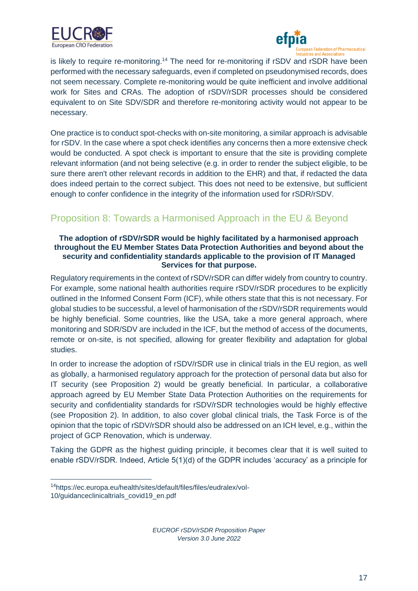



is likely to require re-monitoring.<sup>14</sup> The need for re-monitoring if rSDV and rSDR have been performed with the necessary safeguards, even if completed on pseudonymised records, does not seem necessary. Complete re-monitoring would be quite inefficient and involve additional work for Sites and CRAs. The adoption of rSDV/rSDR processes should be considered equivalent to on Site SDV/SDR and therefore re-monitoring activity would not appear to be necessary.

One practice is to conduct spot-checks with on-site monitoring, a similar approach is advisable for rSDV. In the case where a spot check identifies any concerns then a more extensive check would be conducted. A spot check is important to ensure that the site is providing complete relevant information (and not being selective (e.g. in order to render the subject eligible, to be sure there aren't other relevant records in addition to the EHR) and that, if redacted the data does indeed pertain to the correct subject. This does not need to be extensive, but sufficient enough to confer confidence in the integrity of the information used for rSDR/rSDV.

## <span id="page-16-0"></span>Proposition 8: Towards a Harmonised Approach in the EU & Beyond

#### **The adoption of rSDV/rSDR would be highly facilitated by a harmonised approach throughout the EU Member States Data Protection Authorities and beyond about the security and confidentiality standards applicable to the provision of IT Managed Services for that purpose.**

Regulatory requirements in the context of rSDV/rSDR can differ widely from country to country. For example, some national health authorities require rSDV/rSDR procedures to be explicitly outlined in the Informed Consent Form (ICF), while others state that this is not necessary. For global studies to be successful, a level of harmonisation of the rSDV/rSDR requirements would be highly beneficial. Some countries, like the USA, take a more general approach, where monitoring and SDR/SDV are included in the ICF, but the method of access of the documents, remote or on-site, is not specified, allowing for greater flexibility and adaptation for global studies.

In order to increase the adoption of rSDV/rSDR use in clinical trials in the EU region, as well as globally, a harmonised regulatory approach for the protection of personal data but also for IT security (see Proposition 2) would be greatly beneficial. In particular, a collaborative approach agreed by EU Member State Data Protection Authorities on the requirements for security and confidentiality standards for rSDV/rSDR technologies would be highly effective (see Proposition 2). In addition, to also cover global clinical trials, the Task Force is of the opinion that the topic of rSDV/rSDR should also be addressed on an ICH level, e.g., within the project of GCP Renovation, which is underway.

Taking the GDPR as the highest guiding principle, it becomes clear that it is well suited to enable rSDV/rSDR. Indeed, Article 5(1)(d) of the GDPR includes 'accuracy' as a principle for

<sup>14</sup>[https://ec.europa.eu/health/sites/default/files/files/eudralex/vol-](https://ec.europa.eu/health/sites/default/files/files/eudralex/vol-10/guidanceclinicaltrials_covid19_en.pdf)

[<sup>10/</sup>guidanceclinicaltrials\\_covid19\\_en.pdf](https://ec.europa.eu/health/sites/default/files/files/eudralex/vol-10/guidanceclinicaltrials_covid19_en.pdf)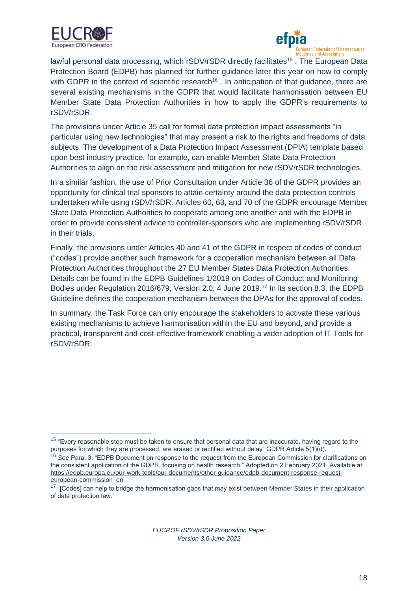



lawful personal data processing, which rSDV/rSDR directly facilitates<sup>15</sup>. The European Data Protection Board (EDPB) has planned for further guidance later this year on how to comply with GDPR in the context of scientific research<sup>16</sup>. In anticipation of that guidance, there are several existing mechanisms in the GDPR that would facilitate harmonisation between EU Member State Data Protection Authorities in how to apply the GDPR's requirements to rSDV/rSDR.

The provisions under Article 35 call for formal data protection impact assessments "in particular using new technologies" that may present a risk to the rights and freedoms of data subjects. The development of a Data Protection Impact Assessment (DPIA) template based upon best industry practice, for example, can enable Member State Data Protection Authorities to align on the risk assessment and mitigation for new rSDV/rSDR technologies.

In a similar fashion, the use of Prior Consultation under Article 36 of the GDPR provides an opportunity for clinical trial sponsors to attain certainty around the data protection controls undertaken while using rSDV/rSDR. Articles 60, 63, and 70 of the GDPR encourage Member State Data Protection Authorities to cooperate among one another and with the EDPB in order to provide consistent advice to controller-sponsors who are implementing rSDV/rSDR in their trials.

Finally, the provisions under Articles 40 and 41 of the GDPR in respect of codes of conduct ("codes") provide another such framework for a cooperation mechanism between all Data Protection Authorities throughout the 27 EU Member States Data Protection Authorities. Details can be found in the EDPB Guidelines 1/2019 on Codes of Conduct and Monitoring Bodies under Regulation 2016/679, Version 2.0, 4 June 2019.<sup>17</sup> In its section 8.3, the EDPB Guideline defines the cooperation mechanism between the DPAs for the approval of codes.

In summary, the Task Force can only encourage the stakeholders to activate these various existing mechanisms to achieve harmonisation within the EU and beyond, and provide a practical, transparent and cost-effective framework enabling a wider adoption of IT Tools for rSDV/rSDR.

<sup>&</sup>lt;sup>15</sup> "Everv reasonable step must be taken to ensure that personal data that are inaccurate, having regard to the purposes for which they are processed, are erased or rectified without delay" GDPR Article 5(1)(d).

<sup>16</sup> *See* Para. 3, "EDPB Document on response to the request from the European Commission for clarifications on the consistent application of the GDPR, focusing on health research." Adopted on 2 February 2021. Available at: [https://edpb.europa.eu/our-work-tools/our-documents/other-guidance/edpb-document-response-request](https://edpb.europa.eu/our-work-tools/our-documents/other-guidance/edpb-document-response-request-european-commission_en)[european-commission\\_en](https://edpb.europa.eu/our-work-tools/our-documents/other-guidance/edpb-document-response-request-european-commission_en)

<sup>&</sup>lt;sup>17</sup> "[Codes] can help to bridge the harmonisation gaps that may exist between Member States in their application of data protection law."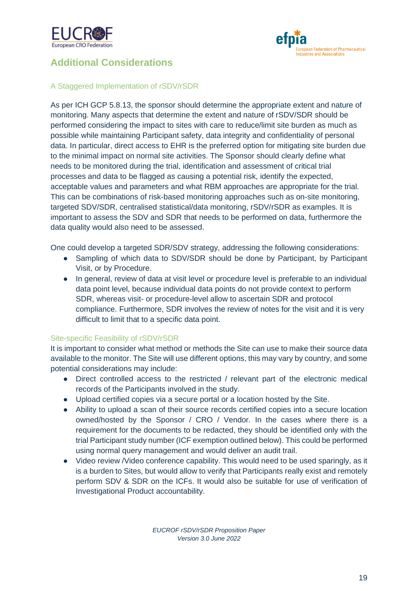



## <span id="page-18-0"></span>**Additional Considerations**

#### <span id="page-18-1"></span>A Staggered Implementation of rSDV/rSDR

As per ICH GCP 5.8.13, the sponsor should determine the appropriate extent and nature of monitoring. Many aspects that determine the extent and nature of rSDV/SDR should be performed considering the impact to sites with care to reduce/limit site burden as much as possible while maintaining Participant safety, data integrity and confidentiality of personal data. In particular, direct access to EHR is the preferred option for mitigating site burden due to the minimal impact on normal site activities. The Sponsor should clearly define what needs to be monitored during the trial, identification and assessment of critical trial processes and data to be flagged as causing a potential risk, identify the expected, acceptable values and parameters and what RBM approaches are appropriate for the trial. This can be combinations of risk-based monitoring approaches such as on-site monitoring, targeted SDV/SDR, centralised statistical/data monitoring, rSDV/rSDR as examples. It is important to assess the SDV and SDR that needs to be performed on data, furthermore the data quality would also need to be assessed.

One could develop a targeted SDR/SDV strategy, addressing the following considerations:

- Sampling of which data to SDV/SDR should be done by Participant, by Participant Visit, or by Procedure.
- In general, review of data at visit level or procedure level is preferable to an individual data point level, because individual data points do not provide context to perform SDR, whereas visit- or procedure-level allow to ascertain SDR and protocol compliance. Furthermore, SDR involves the review of notes for the visit and it is very difficult to limit that to a specific data point.

#### <span id="page-18-2"></span>Site-specific Feasibility of rSDV/rSDR

It is important to consider what method or methods the Site can use to make their source data available to the monitor. The Site will use different options, this may vary by country, and some potential considerations may include:

- Direct controlled access to the restricted / relevant part of the electronic medical records of the Participants involved in the study.
- Upload certified copies via a secure portal or a location hosted by the Site.
- Ability to upload a scan of their source records certified copies into a secure location owned/hosted by the Sponsor / CRO / Vendor. In the cases where there is a requirement for the documents to be redacted, they should be identified only with the trial Participant study number (ICF exemption outlined below). This could be performed using normal query management and would deliver an audit trail.
- Video review / Video conference capability. This would need to be used sparingly, as it is a burden to Sites, but would allow to verify that Participants really exist and remotely perform SDV & SDR on the ICFs. It would also be suitable for use of verification of Investigational Product accountability.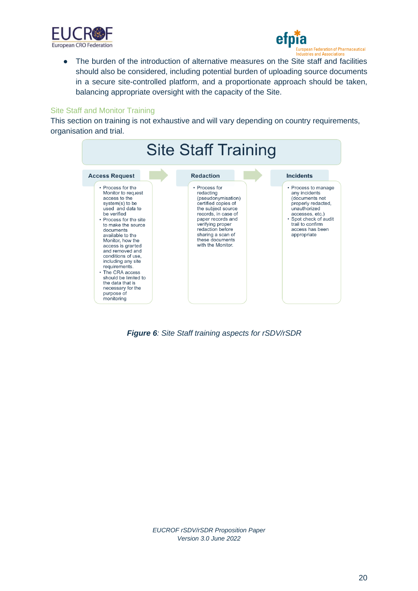



● The burden of the introduction of alternative measures on the Site staff and facilities should also be considered, including potential burden of uploading source documents in a secure site-controlled platform, and a proportionate approach should be taken, balancing appropriate oversight with the capacity of the Site.

#### <span id="page-19-0"></span>Site Staff and Monitor Training

This section on training is not exhaustive and will vary depending on country requirements, organisation and trial.



*Figure 6: Site Staff training aspects for rSDV/rSDR*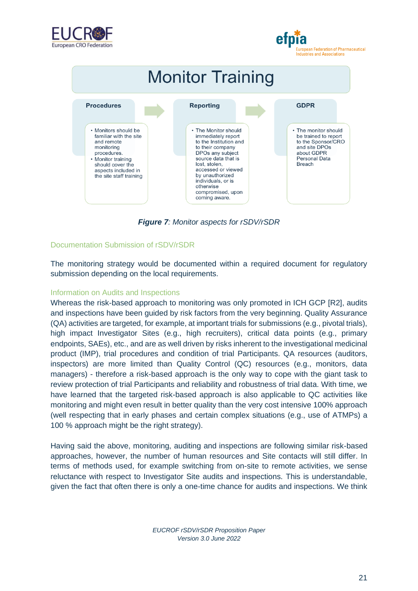![](_page_20_Picture_0.jpeg)

# European Federation of Pharmaceutical<br>Industries and Associations

![](_page_20_Figure_2.jpeg)

*Figure 7: Monitor aspects for rSDV/rSDR*

#### <span id="page-20-0"></span>Documentation Submission of rSDV/rSDR

The monitoring strategy would be documented within a required document for regulatory submission depending on the local requirements.

#### <span id="page-20-1"></span>Information on Audits and Inspections

Whereas the risk-based approach to monitoring was only promoted in ICH GCP [R2], audits and inspections have been guided by risk factors from the very beginning. Quality Assurance (QA) activities are targeted, for example, at important trials for submissions (e.g., pivotal trials), high impact Investigator Sites (e.g., high recruiters), critical data points (e.g., primary endpoints, SAEs), etc., and are as well driven by risks inherent to the investigational medicinal product (IMP), trial procedures and condition of trial Participants. QA resources (auditors, inspectors) are more limited than Quality Control (QC) resources (e.g., monitors, data managers) - therefore a risk-based approach is the only way to cope with the giant task to review protection of trial Participants and reliability and robustness of trial data. With time, we have learned that the targeted risk-based approach is also applicable to QC activities like monitoring and might even result in better quality than the very cost intensive 100% approach (well respecting that in early phases and certain complex situations (e.g., use of ATMPs) a 100 % approach might be the right strategy).

Having said the above, monitoring, auditing and inspections are following similar risk-based approaches, however, the number of human resources and Site contacts will still differ. In terms of methods used, for example switching from on-site to remote activities, we sense reluctance with respect to Investigator Site audits and inspections. This is understandable, given the fact that often there is only a one-time chance for audits and inspections. We think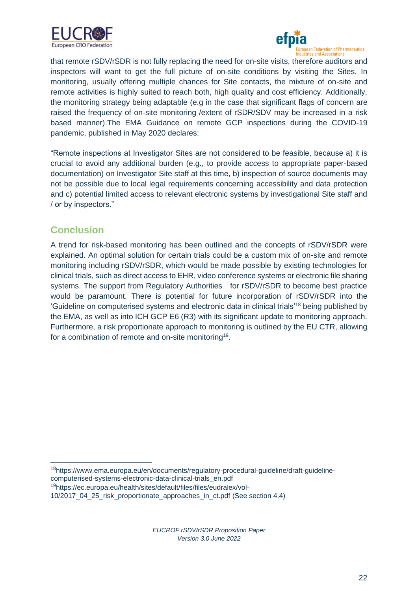![](_page_21_Picture_0.jpeg)

![](_page_21_Picture_1.jpeg)

that remote rSDV/rSDR is not fully replacing the need for on-site visits, therefore auditors and inspectors will want to get the full picture of on-site conditions by visiting the Sites. In monitoring, usually offering multiple chances for Site contacts, the mixture of on-site and remote activities is highly suited to reach both, high quality and cost efficiency. Additionally, the monitoring strategy being adaptable (e.g in the case that significant flags of concern are raised the frequency of on-site monitoring /extent of rSDR/SDV may be increased in a risk based manner).The EMA Guidance on remote GCP inspections during the COVID-19 pandemic, published in May 2020 declares:

"Remote inspections at Investigator Sites are not considered to be feasible, because a) it is crucial to avoid any additional burden (e.g., to provide access to appropriate paper-based documentation) on Investigator Site staff at this time, b) inspection of source documents may not be possible due to local legal requirements concerning accessibility and data protection and c) potential limited access to relevant electronic systems by investigational Site staff and / or by inspectors."

## <span id="page-21-0"></span>**Conclusion**

A trend for risk-based monitoring has been outlined and the concepts of rSDV/rSDR were explained. An optimal solution for certain trials could be a custom mix of on-site and remote monitoring including rSDV/rSDR, which would be made possible by existing technologies for clinical trials, such as direct access to EHR, video conference systems or electronic file sharing systems. The support from Regulatory Authorities for rSDV/rSDR to become best practice would be paramount. There is potential for future incorporation of rSDV/rSDR into the 'Guideline on computerised systems and electronic data in clinical trials'<sup>18</sup> being published by the EMA, as well as into ICH GCP E6 (R3) with its significant update to monitoring approach. Furthermore, a risk proportionate approach to monitoring is outlined by the EU CTR, allowing for a combination of remote and on-site monitoring<sup>19</sup>.

<sup>19</sup>[https://ec.europa.eu/health/sites/default/files/files/eudralex/vol-](https://ec.europa.eu/health/sites/default/files/files/eudralex/vol-10/2017_04_25_risk_proportionate_approaches_in_ct.pdf)

<sup>18</sup>https://www.ema.europa.eu/en/documents/regulatory-procedural-guideline/draft-guidelinecomputerised-systems-electronic-data-clinical-trials\_en.pdf

[<sup>10/2017</sup>\\_04\\_25\\_risk\\_proportionate\\_approaches\\_in\\_ct.pdf](https://ec.europa.eu/health/sites/default/files/files/eudralex/vol-10/2017_04_25_risk_proportionate_approaches_in_ct.pdf) (See section 4.4)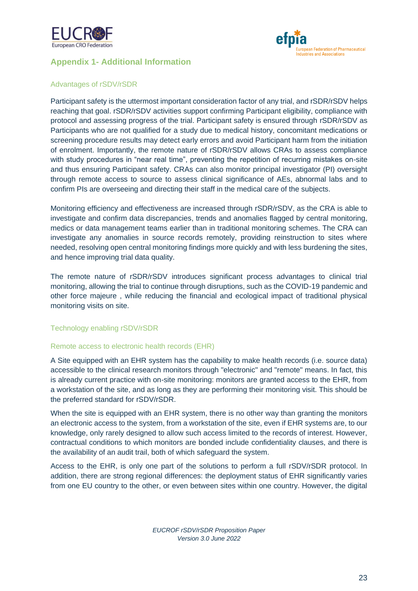![](_page_22_Picture_0.jpeg)

![](_page_22_Picture_1.jpeg)

#### <span id="page-22-0"></span>**Appendix 1- Additional Information**

#### <span id="page-22-1"></span>Advantages of rSDV/rSDR

Participant safety is the uttermost important consideration factor of any trial, and rSDR/rSDV helps reaching that goal. rSDR/rSDV activities support confirming Participant eligibility, compliance with protocol and assessing progress of the trial. Participant safety is ensured through rSDR/rSDV as Participants who are not qualified for a study due to medical history, concomitant medications or screening procedure results may detect early errors and avoid Participant harm from the initiation of enrolment. Importantly, the remote nature of rSDR/rSDV allows CRAs to assess compliance with study procedures in "near real time", preventing the repetition of recurring mistakes on-site and thus ensuring Participant safety. CRAs can also monitor principal investigator (PI) oversight through remote access to source to assess clinical significance of AEs, abnormal labs and to confirm PIs are overseeing and directing their staff in the medical care of the subjects.

Monitoring efficiency and effectiveness are increased through rSDR/rSDV, as the CRA is able to investigate and confirm data discrepancies, trends and anomalies flagged by central monitoring, medics or data management teams earlier than in traditional monitoring schemes. The CRA can investigate any anomalies in source records remotely, providing reinstruction to sites where needed, resolving open central monitoring findings more quickly and with less burdening the sites, and hence improving trial data quality.

The remote nature of rSDR/rSDV introduces significant process advantages to clinical trial monitoring, allowing the trial to continue through disruptions, such as the COVID-19 pandemic and other force majeure , while reducing the financial and ecological impact of traditional physical monitoring visits on site.

#### <span id="page-22-2"></span>Technology enabling rSDV/rSDR

#### Remote access to electronic health records (EHR)

A Site equipped with an EHR system has the capability to make health records (i.e. source data) accessible to the clinical research monitors through "electronic" and "remote" means. In fact, this is already current practice with on-site monitoring: monitors are granted access to the EHR, from a workstation of the site, and as long as they are performing their monitoring visit. This should be the preferred standard for rSDV/rSDR.

When the site is equipped with an EHR system, there is no other way than granting the monitors an electronic access to the system, from a workstation of the site, even if EHR systems are, to our knowledge, only rarely designed to allow such access limited to the records of interest. However, contractual conditions to which monitors are bonded include confidentiality clauses, and there is the availability of an audit trail, both of which safeguard the system.

Access to the EHR, is only one part of the solutions to perform a full rSDV/rSDR protocol. In addition, there are strong regional differences: the deployment status of EHR significantly varies from one EU country to the other, or even between sites within one country. However, the digital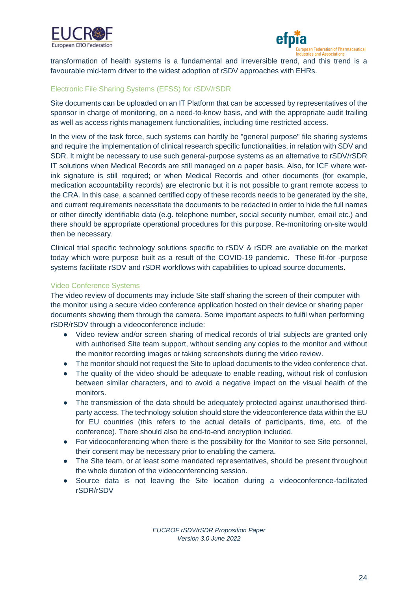![](_page_23_Picture_0.jpeg)

![](_page_23_Picture_1.jpeg)

transformation of health systems is a fundamental and irreversible trend, and this trend is a favourable mid-term driver to the widest adoption of rSDV approaches with EHRs.

#### <span id="page-23-0"></span>Electronic File Sharing Systems (EFSS) for rSDV/rSDR

Site documents can be uploaded on an IT Platform that can be accessed by representatives of the sponsor in charge of monitoring, on a need-to-know basis, and with the appropriate audit trailing as well as access rights management functionalities, including time restricted access.

In the view of the task force, such systems can hardly be "general purpose" file sharing systems and require the implementation of clinical research specific functionalities, in relation with SDV and SDR. It might be necessary to use such general-purpose systems as an alternative to rSDV/rSDR IT solutions when Medical Records are still managed on a paper basis. Also, for ICF where wetink signature is still required; or when Medical Records and other documents (for example, medication accountability records) are electronic but it is not possible to grant remote access to the CRA. In this case, a scanned certified copy of these records needs to be generated by the site, and current requirements necessitate the documents to be redacted in order to hide the full names or other directly identifiable data (e.g. telephone number, social security number, email etc.) and there should be appropriate operational procedures for this purpose. Re-monitoring on-site would then be necessary.

Clinical trial specific technology solutions specific to rSDV & rSDR are available on the market today which were purpose built as a result of the COVID-19 pandemic. These fit-for -purpose systems facilitate rSDV and rSDR workflows with capabilities to upload source documents.

#### <span id="page-23-1"></span>Video Conference Systems

The video review of documents may include Site staff sharing the screen of their computer with the monitor using a secure video conference application hosted on their device or sharing paper documents showing them through the camera. Some important aspects to fulfil when performing rSDR/rSDV through a videoconference include:

- Video review and/or screen sharing of medical records of trial subjects are granted only with authorised Site team support, without sending any copies to the monitor and without the monitor recording images or taking screenshots during the video review.
- The monitor should not request the Site to upload documents to the video conference chat.
- The quality of the video should be adequate to enable reading, without risk of confusion between similar characters, and to avoid a negative impact on the visual health of the monitors.
- The transmission of the data should be adequately protected against unauthorised thirdparty access. The technology solution should store the videoconference data within the EU for EU countries (this refers to the actual details of participants, time, etc. of the conference). There should also be end-to-end encryption included.
- For videoconferencing when there is the possibility for the Monitor to see Site personnel, their consent may be necessary prior to enabling the camera.
- The Site team, or at least some mandated representatives, should be present throughout the whole duration of the videoconferencing session.
- Source data is not leaving the Site location during a videoconference-facilitated rSDR/rSDV